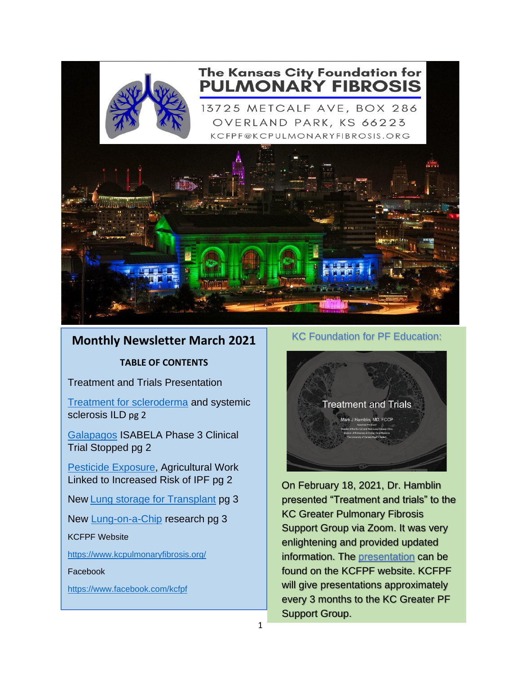

## The Kansas City Foundation for **PULMONARY FIBROSIS**

13725 METCALF AVE, BOX 286 OVERLAND PARK, KS 66223 KCFPF@KCPULMONARYFIBROSIS.ORG



## **Monthly Newsletter March 2021**

**TABLE OF CONTENTS**

Treatment and Trials Presentation

[Treatment for scleroderma](#page-1-0) and systemic sclerosis ILD pg 2

[Galapagos](#page-1-1) ISABELA Phase 3 Clinical Trial Stopped pg 2

[Pesticide Exposure,](#page-1-2) Agricultural Work Linked to Increased Risk of IPF pg 2

New [Lung storage for Transplant](#page-2-0) pg 3

New [Lung-on-a-Chip](#page-2-1) research pg 3

KCFPF Website

<https://www.kcpulmonaryfibrosis.org/>

#### Facebook

<https://www.facebook.com/kcfpf>

#### KC Foundation for PF Education:



 On February 18, 2021, Dr. Hamblin presented "Treatment and trials" to the KC Greater Pulmonary Fibrosis Support Group via Zoom. It was very enlightening and provided updated information. The [presentation](https://www.kcpulmonaryfibrosis.org/outreach-events) can be found on the KCFPF website. KCFPF will give presentations approximately every 3 months to the KC Greater PF Support Group.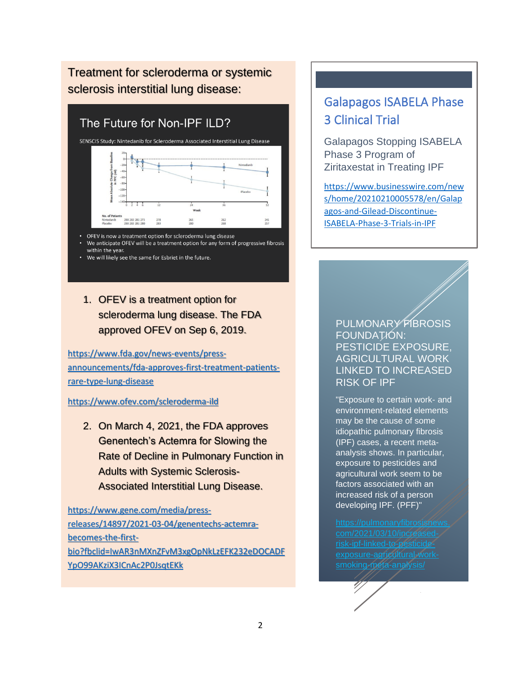## <span id="page-1-0"></span>Treatment for scleroderma or systemic sclerosis interstitial lung disease:

## The Future for Non-IPF ILD?



• OFEV is now a treatment option for scleroderma lung disease We anticipate OFEV will be a treatment option for any form of progressive fibrosis within the year.

• We will likely see the same for Esbriet in the future.

### 1. OFEV is a treatment option for scleroderma lung disease. The FDA approved OFEV on Sep 6, 2019.

[https://www.fda.gov/news-events/press](https://www.fda.gov/news-events/press-announcements/fda-approves-first-treatment-patients-rare-type-lung-disease)[announcements/fda-approves-first-treatment-patients](https://www.fda.gov/news-events/press-announcements/fda-approves-first-treatment-patients-rare-type-lung-disease)[rare-type-lung-disease](https://www.fda.gov/news-events/press-announcements/fda-approves-first-treatment-patients-rare-type-lung-disease)

#### <https://www.ofev.com/scleroderma-ild>

2. On March 4, 2021, the FDA approves Genentech's Actemra for Slowing the Rate of Decline in Pulmonary Function in Adults with Systemic Sclerosis-Associated Interstitial Lung Disease.

[https://www.gene.com/media/press](https://www.gene.com/media/press-releases/14897/2021-03-04/genentechs-actemra-becomes-the-first-bio?fbclid=IwAR3nMXnZFvM3xgOpNkLzEFK232eDOCADFYpO99AKziX3ICnAc2P0JsqtEKk)[releases/14897/2021-03-04/genentechs-actemra](https://www.gene.com/media/press-releases/14897/2021-03-04/genentechs-actemra-becomes-the-first-bio?fbclid=IwAR3nMXnZFvM3xgOpNkLzEFK232eDOCADFYpO99AKziX3ICnAc2P0JsqtEKk)[becomes-the-first](https://www.gene.com/media/press-releases/14897/2021-03-04/genentechs-actemra-becomes-the-first-bio?fbclid=IwAR3nMXnZFvM3xgOpNkLzEFK232eDOCADFYpO99AKziX3ICnAc2P0JsqtEKk)[bio?fbclid=IwAR3nMXnZFvM3xgOpNkLzEFK232eDOCADF](https://www.gene.com/media/press-releases/14897/2021-03-04/genentechs-actemra-becomes-the-first-bio?fbclid=IwAR3nMXnZFvM3xgOpNkLzEFK232eDOCADFYpO99AKziX3ICnAc2P0JsqtEKk) [YpO99AKziX3ICnAc2P0JsqtEKk](https://www.gene.com/media/press-releases/14897/2021-03-04/genentechs-actemra-becomes-the-first-bio?fbclid=IwAR3nMXnZFvM3xgOpNkLzEFK232eDOCADFYpO99AKziX3ICnAc2P0JsqtEKk)

# <span id="page-1-1"></span>Galapagos ISABELA Phase 3 Clinical Trial

Galapagos Stopping ISABELA Phase 3 Program of Ziritaxestat in Treating IPF

[https://www.businesswire.com/new](https://www.businesswire.com/news/home/20210210005578/en/Galapagos-and-Gilead-Discontinue-ISABELA-Phase-3-Trials-in-IPF) [s/home/20210210005578/en/Galap](https://www.businesswire.com/news/home/20210210005578/en/Galapagos-and-Gilead-Discontinue-ISABELA-Phase-3-Trials-in-IPF) [agos-and-Gilead-Discontinue-](https://www.businesswire.com/news/home/20210210005578/en/Galapagos-and-Gilead-Discontinue-ISABELA-Phase-3-Trials-in-IPF)[ISABELA-Phase-3-Trials-in-IPF](https://www.businesswire.com/news/home/20210210005578/en/Galapagos-and-Gilead-Discontinue-ISABELA-Phase-3-Trials-in-IPF)

#### <span id="page-1-2"></span>PULMONARY FIBROSIS FOUNDATION: PESTICIDE EXPOSURE, AGRICULTURAL WORK LINKED TO INCREASED RISK OF IPF

"Exposure to certain work- and environment-related elements may be the cause of some idiopathic pulmonary fibrosis (IPF) cases, a recent metaanalysis shows. In particular, exposure to pesticides and agricultural work seem to be factors associated with an increased risk of a person developing IPF. (PFF)"

[exposure-agricultural-work](https://pulmonaryfibrosisnews.com/2021/03/10/increased-risk-ipf-linked-to-pesticide-exposure-agricultural-work-smoking-meta-analysis/)[smoking-meta-analysis/](https://pulmonaryfibrosisnews.com/2021/03/10/increased-risk-ipf-linked-to-pesticide-exposure-agricultural-work-smoking-meta-analysis/)